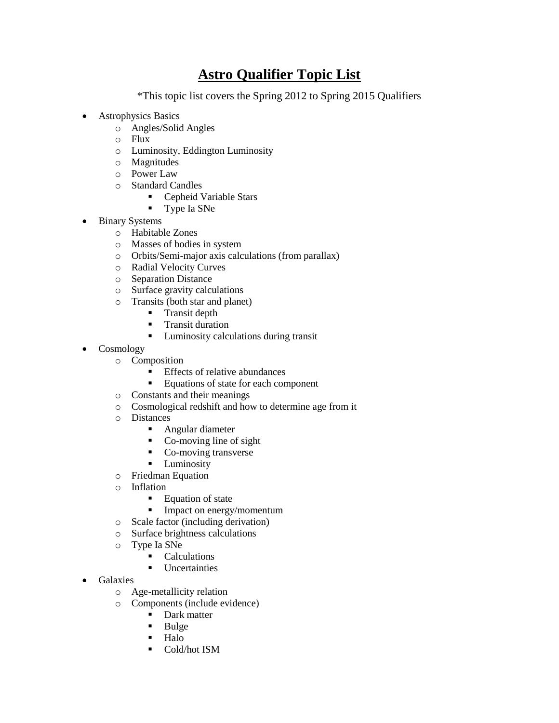## **Astro Qualifier Topic List**

\*This topic list covers the Spring 2012 to Spring 2015 Qualifiers

- Astrophysics Basics
	- o Angles/Solid Angles
	- o Flux
	- o Luminosity, Eddington Luminosity
	- o Magnitudes
	- o Power Law
	- o Standard Candles
		- Cepheid Variable Stars
		- **Type Ia SNe**
- Binary Systems
	- o Habitable Zones
	- o Masses of bodies in system
	- o Orbits/Semi-major axis calculations (from parallax)
	- o Radial Velocity Curves
	- o Separation Distance
	- o Surface gravity calculations
	- o Transits (both star and planet)
		- **Transit depth**
		- **Transit duration**
		- **Luminosity calculations during transit**
- Cosmology
	- o Composition
		- **Effects of relative abundances**
		- Equations of state for each component
	- o Constants and their meanings
	- o Cosmological redshift and how to determine age from it
	- o Distances
		- **Angular diameter**
		- Co-moving line of sight
		- Co-moving transverse
		- **Luminosity**
	- o Friedman Equation
	- o Inflation
		- **Equation of state**
		- **Impact on energy/momentum**
	- o Scale factor (including derivation)
	- o Surface brightness calculations
	- o Type Ia SNe
		- Calculations
		- **Uncertainties**
- Galaxies
	- o Age-metallicity relation
	- o Components (include evidence)
		- Dark matter
		- $\blacksquare$  Bulge
		- Halo
		- **Cold/hot ISM**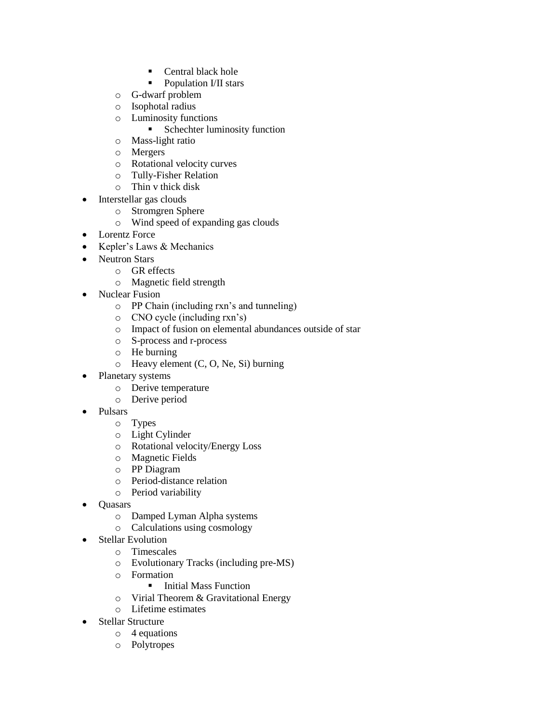- Central black hole
- Population I/II stars
- o G-dwarf problem
- o Isophotal radius
- o Luminosity functions
	- **Schechter luminosity function**
- o Mass-light ratio
- o Mergers
- o Rotational velocity curves
- o Tully-Fisher Relation
- o Thin v thick disk
- Interstellar gas clouds
	- o Stromgren Sphere
	- o Wind speed of expanding gas clouds
- Lorentz Force
- Kepler's Laws & Mechanics
- Neutron Stars
	- o GR effects
	- o Magnetic field strength
	- Nuclear Fusion
		- o PP Chain (including rxn's and tunneling)
		- o CNO cycle (including rxn's)
		- o Impact of fusion on elemental abundances outside of star
		- o S-process and r-process
		- o He burning
		- o Heavy element (C, O, Ne, Si) burning
- Planetary systems
	- o Derive temperature
	- o Derive period
- Pulsars
	- o Types
	- o Light Cylinder
	- o Rotational velocity/Energy Loss
	- o Magnetic Fields
	- o PP Diagram
	- o Period-distance relation
	- o Period variability
- Quasars
	- o Damped Lyman Alpha systems
	- o Calculations using cosmology
- Stellar Evolution
	- o Timescales
		- o Evolutionary Tracks (including pre-MS)
		- o Formation
			- **Initial Mass Function**
		- o Virial Theorem & Gravitational Energy
		- o Lifetime estimates
- Stellar Structure
	- o 4 equations
	- o Polytropes